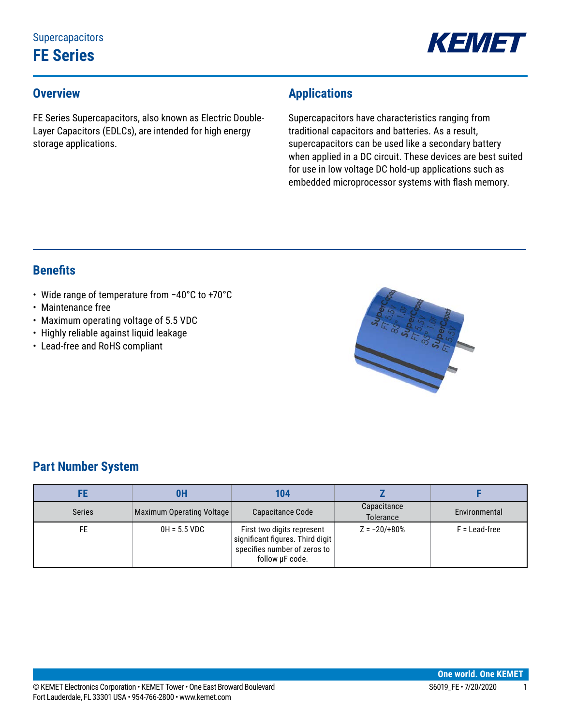

### **Overview**

FE Series Supercapacitors, also known as Electric Double-Layer Capacitors (EDLCs), are intended for high energy storage applications.

## **Applications**

Supercapacitors have characteristics ranging from traditional capacitors and batteries. As a result, supercapacitors can be used like a secondary battery when applied in a DC circuit. These devices are best suited for use in low voltage DC hold-up applications such as embedded microprocessor systems with flash memory.

### **Benefits**

- • Wide range of temperature from −40°C to +70°C
- Maintenance free
- Maximum operating voltage of 5.5 VDC
- Highly reliable against liquid leakage
- Lead-free and RoHS compliant



### **Part Number System**

|               | 0H                        | 104                                                                                                               |                          |                 |
|---------------|---------------------------|-------------------------------------------------------------------------------------------------------------------|--------------------------|-----------------|
| <b>Series</b> | Maximum Operating Voltage | Capacitance Code                                                                                                  | Capacitance<br>Tolerance | Environmental   |
|               | $0H = 5.5 VDC$            | First two digits represent<br>significant figures. Third digit<br>specifies number of zeros to<br>follow µF code. | $Z = -20/180%$           | $F =$ Lead-free |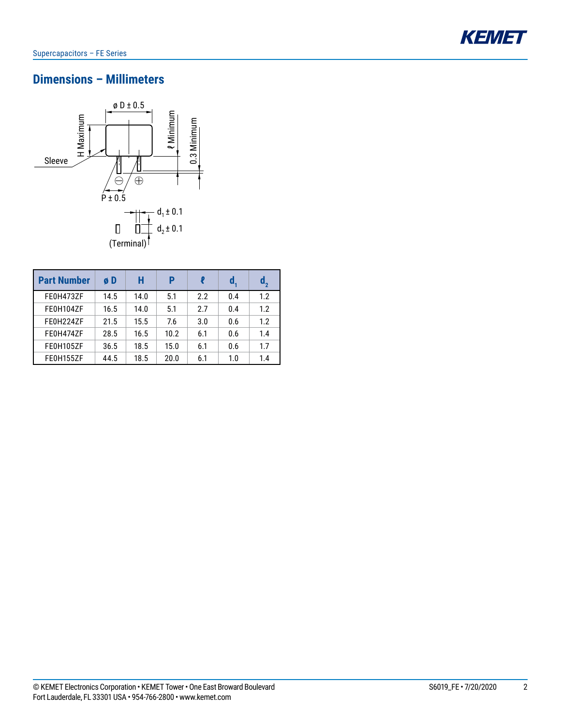

## **Dimensions – Millimeters**



| <b>Part Number</b> | øD   | Н    | P    |     | d,  | $\mathbf{d}_{2}$ |
|--------------------|------|------|------|-----|-----|------------------|
| FE0H473ZF          | 14.5 | 14.0 | 5.1  | 2.2 | 0.4 | 1.2              |
| FE0H104ZF          | 16.5 | 14.0 | 5.1  | 2.7 | 0.4 | 1.2              |
| FE0H224ZF          | 21.5 | 15.5 | 7.6  | 3.0 | 0.6 | 1.2              |
| FE0H474ZF          | 28.5 | 16.5 | 10.2 | 6.1 | 0.6 | 1.4              |
| FE0H105ZF          | 36.5 | 18.5 | 15.0 | 6.1 | 0.6 | 1.7              |
| FE0H155ZF          | 44.5 | 18.5 | 20.0 | 6.1 | 1.0 | 1.4              |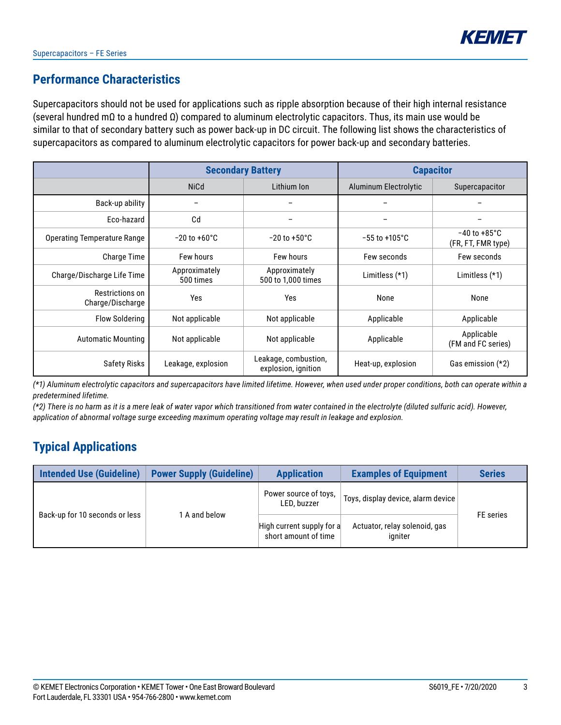### **Performance Characteristics**

Supercapacitors should not be used for applications such as ripple absorption because of their high internal resistance (several hundred mΩ to a hundred Ω) compared to aluminum electrolytic capacitors. Thus, its main use would be similar to that of secondary battery such as power back-up in DC circuit. The following list shows the characteristics of supercapacitors as compared to aluminum electrolytic capacitors for power back-up and secondary batteries.

|                                     |                                                      | <b>Secondary Battery</b>                    | <b>Capacitor</b>          |                                                |  |
|-------------------------------------|------------------------------------------------------|---------------------------------------------|---------------------------|------------------------------------------------|--|
|                                     | <b>NiCd</b>                                          | Lithium Ion                                 | Aluminum Electrolytic     | Supercapacitor                                 |  |
| Back-up ability                     | $\overline{\phantom{m}}$                             |                                             |                           |                                                |  |
| Eco-hazard                          | Cd                                                   |                                             |                           |                                                |  |
| <b>Operating Temperature Range</b>  | $-20$ to $+60^{\circ}$ C<br>$-20$ to $+50^{\circ}$ C |                                             | $-55$ to $+105^{\circ}$ C | $-40$ to $+85^{\circ}$ C<br>(FR, FT, FMR type) |  |
| <b>Charge Time</b>                  | Few hours<br><b>Few hours</b>                        |                                             | Few seconds               | Few seconds                                    |  |
| Charge/Discharge Life Time          | Approximately<br>500 times                           | Approximately<br>500 to 1,000 times         | Limitless $(*1)$          | Limitless $(*1)$                               |  |
| Restrictions on<br>Charge/Discharge | <b>Yes</b>                                           | Yes                                         | None                      | None                                           |  |
| <b>Flow Soldering</b>               | Not applicable                                       | Not applicable                              | Applicable                | Applicable                                     |  |
| <b>Automatic Mounting</b>           | Not applicable                                       | Not applicable                              | Applicable                | Applicable<br>(FM and FC series)               |  |
| Safety Risks                        | Leakage, explosion                                   | Leakage, combustion,<br>explosion, ignition | Heat-up, explosion        | Gas emission $(*2)$                            |  |

*(\*1) Aluminum electrolytic capacitors and supercapacitors have limited lifetime. However, when used under proper conditions, both can operate within a predetermined lifetime.*

*(\*2) There is no harm as it is a mere leak of water vapor which transitioned from water contained in the electrolyte (diluted sulfuric acid). However, application of abnormal voltage surge exceeding maximum operating voltage may result in leakage and explosion.*

## **Typical Applications**

| Intended Use (Guideline)       | <b>Power Supply (Guideline)</b> | <b>Application</b>                                | <b>Examples of Equipment</b>             | <b>Series</b> |  |
|--------------------------------|---------------------------------|---------------------------------------------------|------------------------------------------|---------------|--|
| Back-up for 10 seconds or less |                                 | Power source of toys,<br>LED, buzzer              | Toys, display device, alarm device       | FE series     |  |
|                                | A and below                     | High current supply for a<br>short amount of time | Actuator, relay solenoid, gas<br>igniter |               |  |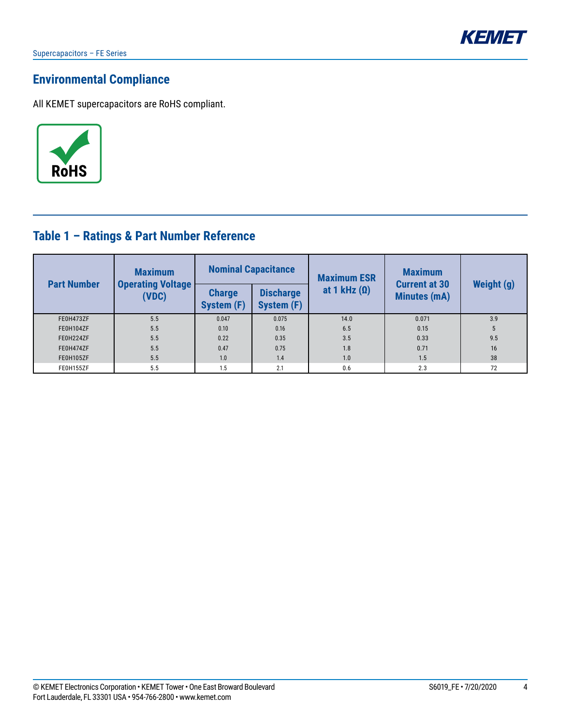

## **Environmental Compliance**

All KEMET supercapacitors are RoHS compliant.



## **Table 1 – Ratings & Part Number Reference**

| <b>Part Number</b> | <b>Maximum</b>                    |                                    | <b>Nominal Capacitance</b>     | <b>Maximum ESR</b>  | <b>Maximum</b><br><b>Current at 30</b> | Weight (g) |  |
|--------------------|-----------------------------------|------------------------------------|--------------------------------|---------------------|----------------------------------------|------------|--|
|                    | <b>Operating Voltage</b><br>(VDC) | <b>Charge</b><br><b>System (F)</b> | <b>Discharge</b><br>System (F) | at 1 kHz $(\Omega)$ | <b>Minutes (mA)</b>                    |            |  |
| FE0H473ZF          | 5.5                               | 0.047                              | 0.075                          | 14.0                | 0.071                                  | 3.9        |  |
| FE0H104ZF          | 5.5                               | 0.10                               | 0.16                           | 6.5                 | 0.15                                   | 5          |  |
| FE0H224ZF          | 5.5                               | 0.22                               | 0.35                           | 3.5                 | 0.33                                   | 9.5        |  |
| FE0H474ZF          | 5.5                               | 0.47                               | 0.75                           | 1.8                 | 0.71                                   | 16         |  |
| FE0H105ZF          | 5.5                               | 1.0                                | 1.4                            | 1.0                 | 1.5                                    | 38         |  |
| FE0H155ZF          | 5.5                               | 1.5                                | 2.1                            | 0.6                 | 2.3                                    | 72         |  |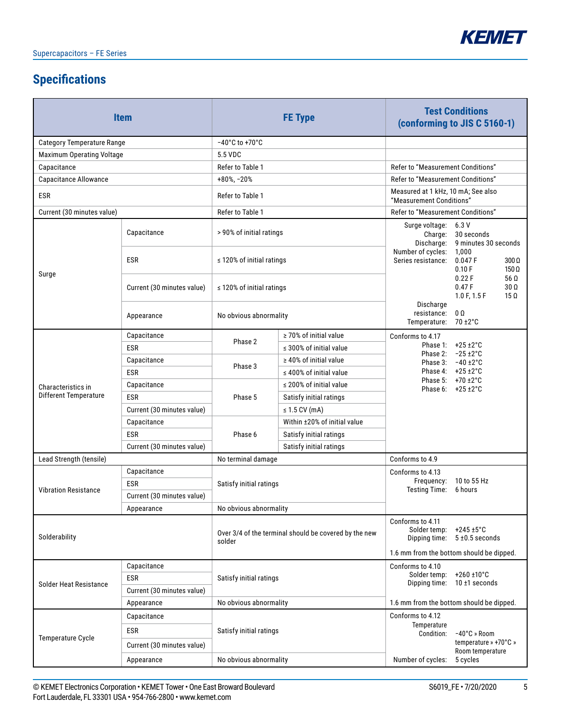

# **Specifications**

|                               | <b>Item</b>                |                                                                 | <b>FE</b> Type               | <b>Test Conditions</b><br>(conforming to JIS C 5160-1)                                                                                      |                                                               |  |  |
|-------------------------------|----------------------------|-----------------------------------------------------------------|------------------------------|---------------------------------------------------------------------------------------------------------------------------------------------|---------------------------------------------------------------|--|--|
| Category Temperature Range    |                            | $-40^{\circ}$ C to $+70^{\circ}$ C                              |                              |                                                                                                                                             |                                                               |  |  |
| Maximum Operating Voltage     |                            | 5.5 VDC                                                         |                              |                                                                                                                                             |                                                               |  |  |
| Capacitance                   |                            | Refer to Table 1                                                |                              | Refer to "Measurement Conditions"                                                                                                           |                                                               |  |  |
| Capacitance Allowance         |                            | $+80\%$ , $-20\%$                                               |                              | Refer to "Measurement Conditions"                                                                                                           |                                                               |  |  |
| ESR                           |                            | Refer to Table 1                                                |                              | Measured at 1 kHz, 10 mA; See also<br>"Measurement Conditions"                                                                              |                                                               |  |  |
| Current (30 minutes value)    |                            | Refer to Table 1                                                |                              | Refer to "Measurement Conditions"                                                                                                           |                                                               |  |  |
|                               | Capacitance                | > 90% of initial ratings                                        |                              | Surge voltage: 6.3 V<br>Charge:<br>Discharge:                                                                                               | 30 seconds<br>9 minutes 30 seconds                            |  |  |
| Surge                         | <b>ESR</b>                 | $\leq$ 120% of initial ratings                                  |                              | Number of cycles:<br>Series resistance:                                                                                                     | 1,000<br>0.047 F<br>$300\,\Omega$<br>0.10 F<br>$150\,\Omega$  |  |  |
|                               | Current (30 minutes value) | $\leq$ 120% of initial ratings                                  |                              |                                                                                                                                             | 0.22F<br>56 Ω<br>0.47F<br>30 Ω<br>1.0 F, 1.5 F<br>$15 \Omega$ |  |  |
|                               | Appearance                 | No obvious abnormality                                          |                              | Discharge<br>resistance:<br>Temperature: 70 ±2°C                                                                                            | $0\ \Omega$                                                   |  |  |
|                               | Capacitance                | Phase 2                                                         | $\geq$ 70% of initial value  | Conforms to 4.17                                                                                                                            |                                                               |  |  |
| Characteristics in            | <b>ESR</b>                 |                                                                 | $\leq$ 300% of initial value |                                                                                                                                             | Phase 1: +25 ±2°C<br>Phase 2: -25 ±2°C                        |  |  |
|                               | Capacitance                | Phase 3                                                         | $\geq 40\%$ of initial value |                                                                                                                                             | Phase 3: $-40 \pm 2^{\circ}$ C                                |  |  |
|                               | <b>ESR</b>                 |                                                                 | $\leq$ 400% of initial value |                                                                                                                                             | Phase 4: +25 ±2°C<br>Phase 5: +70 ±2°C                        |  |  |
|                               | Capacitance                |                                                                 | $\leq$ 200% of initial value |                                                                                                                                             | Phase 6: $+25 \pm 2^{\circ}$ C                                |  |  |
| Different Temperature         | <b>ESR</b>                 | Phase 5                                                         | Satisfy initial ratings      |                                                                                                                                             |                                                               |  |  |
|                               | Current (30 minutes value) |                                                                 | $\leq$ 1.5 CV (mA)           |                                                                                                                                             |                                                               |  |  |
|                               | Capacitance                |                                                                 | Within ±20% of initial value |                                                                                                                                             |                                                               |  |  |
|                               | ESR                        | Phase 6                                                         | Satisfy initial ratings      |                                                                                                                                             |                                                               |  |  |
|                               | Current (30 minutes value) |                                                                 | Satisfy initial ratings      |                                                                                                                                             |                                                               |  |  |
| Lead Strength (tensile)       |                            | No terminal damage                                              |                              | Conforms to 4.9                                                                                                                             |                                                               |  |  |
|                               | Capacitance                |                                                                 |                              | Conforms to 4.13                                                                                                                            | Frequency: 10 to 55 Hz                                        |  |  |
| <b>Vibration Resistance</b>   | <b>ESR</b>                 | Satisfy initial ratings                                         |                              | Testing Time: 6 hours                                                                                                                       |                                                               |  |  |
|                               | Current (30 minutes value) |                                                                 |                              |                                                                                                                                             |                                                               |  |  |
|                               | Appearance                 | No obvious abnormality                                          |                              |                                                                                                                                             |                                                               |  |  |
| Solderability                 |                            | Over 3/4 of the terminal should be covered by the new<br>solder |                              | Conforms to 4.11<br>Solder temp:<br>$+245 \pm 5^{\circ}$ C<br>Dipping time: $5 \pm 0.5$ seconds<br>1.6 mm from the bottom should be dipped. |                                                               |  |  |
|                               | Capacitance                |                                                                 |                              | Conforms to 4.10                                                                                                                            |                                                               |  |  |
|                               | <b>ESR</b>                 | Satisfy initial ratings                                         |                              | Solder temp:                                                                                                                                | +260 ±10°C                                                    |  |  |
| <b>Solder Heat Resistance</b> | Current (30 minutes value) |                                                                 |                              | Dipping time:                                                                                                                               | 10 $±1$ seconds                                               |  |  |
|                               | Appearance                 | No obvious abnormality                                          |                              |                                                                                                                                             | 1.6 mm from the bottom should be dipped.                      |  |  |
|                               | Capacitance                |                                                                 |                              | Conforms to 4.12                                                                                                                            |                                                               |  |  |
|                               | <b>ESR</b>                 |                                                                 |                              | Temperature                                                                                                                                 |                                                               |  |  |
| Temperature Cycle             | Current (30 minutes value) | Satisfy initial ratings                                         |                              | $-40^{\circ}$ C » Room<br>Condition:<br>temperature » +70°C »                                                                               |                                                               |  |  |
|                               | Appearance                 | No obvious abnormality                                          |                              | Room temperature<br>Number of cycles:<br>5 cycles                                                                                           |                                                               |  |  |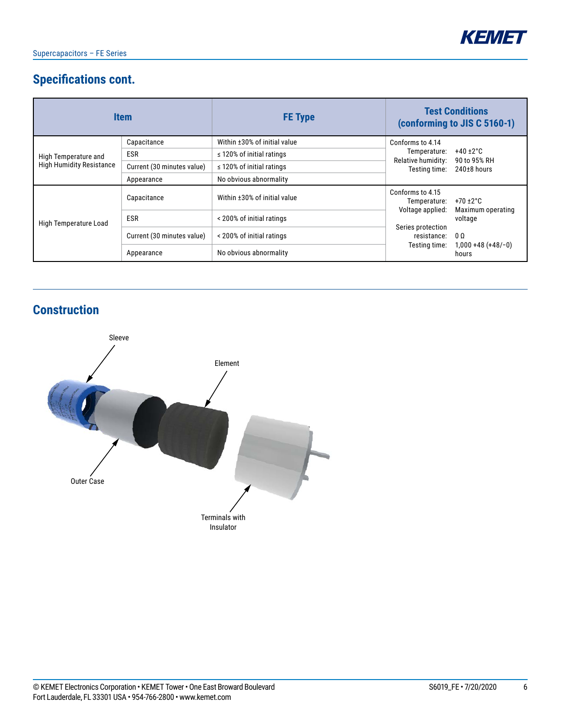

## **Specifications cont.**

|                                 | <b>Item</b>                | <b>FE Type</b>                 | <b>Test Conditions</b><br>(conforming to JIS C 5160-1)                        |  |  |
|---------------------------------|----------------------------|--------------------------------|-------------------------------------------------------------------------------|--|--|
|                                 | Capacitance                | Within ±30% of initial value   | Conforms to 4.14                                                              |  |  |
| High Temperature and            | <b>ESR</b>                 | $\leq$ 120% of initial ratings | $+40+2$ °C<br>Temperature:<br>Relative humidity:<br>90 to 95% RH              |  |  |
| <b>High Humidity Resistance</b> | Current (30 minutes value) | $\leq$ 120% of initial ratings | Testing time:<br>$240\pm8$ hours                                              |  |  |
|                                 | Appearance                 | No obvious abnormality         |                                                                               |  |  |
| High Temperature Load           | Capacitance                | Within ±30% of initial value   | Conforms to 4.15<br>$+70 \pm 2^{\circ}$ C<br>Temperature:<br>Voltage applied: |  |  |
|                                 | <b>ESR</b>                 | < 200% of initial ratings      | Maximum operating<br>voltage                                                  |  |  |
|                                 | Current (30 minutes value) | < 200% of initial ratings      | Series protection<br>0 <sub>0</sub><br>resistance:                            |  |  |
|                                 | Appearance                 | No obvious abnormality         | $1,000 + 48 (+48/-0)$<br>Testing time:<br>hours                               |  |  |

## **Construction**

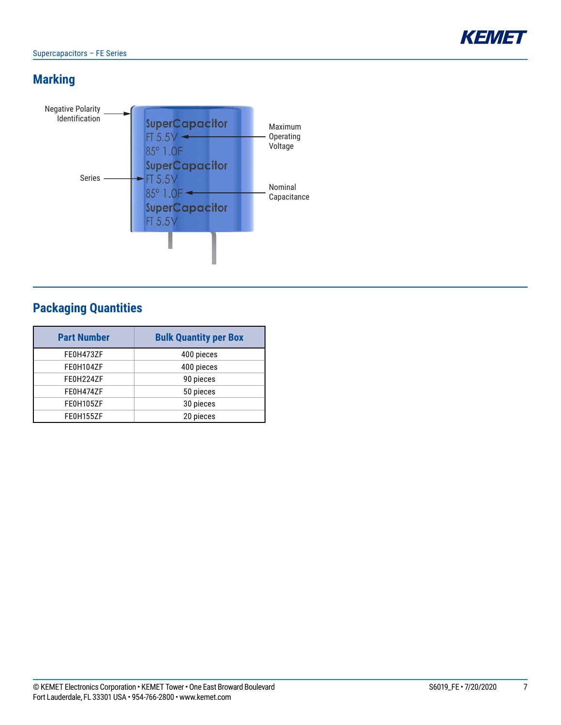## **Marking**



## **Packaging Quantities**

| <b>Part Number</b> | <b>Bulk Quantity per Box</b> |
|--------------------|------------------------------|
| FE0H473ZF          | 400 pieces                   |
| FE0H104ZF          | 400 pieces                   |
| FE0H224ZF          | 90 pieces                    |
| FE0H474ZF          | 50 pieces                    |
| FE0H105ZF          | 30 pieces                    |
| FE0H155ZF          | 20 pieces                    |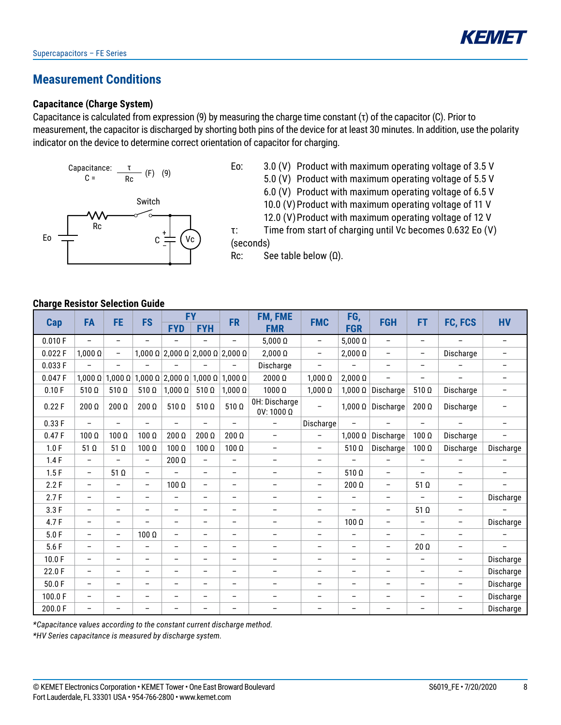

### **Measurement Conditions**

#### **Capacitance (Charge System)**

Capacitance is calculated from expression (9) by measuring the charge time constant  $(\tau)$  of the capacitor (C). Prior to measurement, the capacitor is discharged by shorting both pins of the device for at least 30 minutes. In addition, use the polarity indicator on the device to determine correct orientation of capacitor for charging.

Capacitance: 
$$
\frac{\tau}{\text{Rc}}
$$
 (F) (9)

Switch

C + –

Vc

5.0 (V) Product with maximum operating voltage of 5.5 V

6.0 (V) Product with maximum operating voltage of 6.5 V

- 10.0 (V) Product with maximum operating voltage of 11 V
- 12.0 (V) Product with maximum operating voltage of 12 V

τ: Time from start of charging until Vc becomes 0.632 Eo (V) (seconds)

Rc: See table below  $(Ω)$ .

**Charge Resistor Selection Guide**

Rc

Eo

|         | FA                       |                          | <b>FE</b>                | <b>FS</b>                     |                          | <b>FY</b>                                  | <b>FR</b>                          | FM, FME                  | <b>FMC</b>               | FG,                      | <b>FGH</b>               | FT                       | FC, FCS                  | <b>HV</b> |
|---------|--------------------------|--------------------------|--------------------------|-------------------------------|--------------------------|--------------------------------------------|------------------------------------|--------------------------|--------------------------|--------------------------|--------------------------|--------------------------|--------------------------|-----------|
| Cap     |                          |                          |                          | <b>FYD</b>                    | <b>FYH</b>               |                                            | <b>FMR</b>                         |                          | <b>FGR</b>               |                          |                          |                          |                          |           |
| 0.010 F | $\overline{\phantom{a}}$ | $\overline{\phantom{0}}$ | $\overline{\phantom{0}}$ | $\overline{\phantom{0}}$      | $\overline{\phantom{0}}$ | $\overline{\phantom{0}}$                   | $5,000 \Omega$                     | $\qquad \qquad -$        | $5,000 \Omega$           | $\overline{\phantom{a}}$ | $\overline{\phantom{0}}$ | $\overline{\phantom{0}}$ | $\overline{\phantom{0}}$ |           |
| 0.022F  | $1,000\ \Omega$          | $\overline{\phantom{0}}$ |                          |                               |                          | $1,000$ Ω $ 2,000$ Ω $ 2,000$ Ω $ 2,000$ Ω | $2,000\Omega$                      | $\qquad \qquad -$        | $2,000\ \Omega$          | $\overline{\phantom{m}}$ | $\overline{\phantom{0}}$ | Discharge                | -                        |           |
| 0.033 F | $\overline{\phantom{0}}$ |                          |                          |                               |                          |                                            | Discharge                          | $\overline{\phantom{0}}$ | $\overline{\phantom{0}}$ | $\overline{\phantom{m}}$ | $\overline{\phantom{0}}$ |                          | $\overline{\phantom{0}}$ |           |
| 0.047F  | $1,000\ \Omega$          | $1,000 \Omega$           |                          | $1,000 \Omega$ 2,000 $\Omega$ | $1,000 \Omega$           | $1,000\ \Omega$                            | $2000\Omega$                       | $1,000\ \Omega$          | $2,000\ \Omega$          | $\overline{\phantom{a}}$ | $\overline{\phantom{0}}$ | $\overline{\phantom{0}}$ | -                        |           |
| 0.10 F  | $510 \Omega$             | $510 \Omega$             | $510 \Omega$             | $1,000 \Omega$                | $510 \Omega$             | $1,000\ \Omega$                            | 1000 Ω                             | $1,000\ \Omega$          | $1,000\ \Omega$          | Discharge                | $510 \Omega$             | Discharge                | -                        |           |
| 0.22F   | $200 \Omega$             | $200 \Omega$             | $200\ \Omega$            | $510 \Omega$                  | $510 \Omega$             | $510 \Omega$                               | OH: Discharge<br>$0V: 1000 \Omega$ | $\overline{\phantom{0}}$ | $1,000\ \Omega$          | Discharge                | $200\Omega$              | Discharge                |                          |           |
| 0.33F   | $\overline{\phantom{a}}$ |                          | $\qquad \qquad -$        | $\overline{\phantom{0}}$      | $\overline{\phantom{0}}$ | $\overline{\phantom{0}}$                   |                                    | Discharge                | $\overline{\phantom{0}}$ | $\overline{\phantom{a}}$ | $\overline{\phantom{0}}$ | $\overline{\phantom{0}}$ | $\overline{\phantom{0}}$ |           |
| 0.47F   | $100\ \Omega$            | $100\ \Omega$            | $100\ \Omega$            | $200\ \Omega$                 | 200 Ω                    | $200\ \Omega$                              | $\qquad \qquad -$                  | $\qquad \qquad -$        | $1.000\ \Omega$          | Discharge                | $100 \Omega$             | Discharge                | -                        |           |
| 1.0 F   | 51 $\Omega$              | 51 $\Omega$              | $100\ \Omega$            | $100\ \Omega$                 | $100\ \Omega$            | $100\ \Omega$                              | $\qquad \qquad -$                  | $\qquad \qquad -$        | $510 \Omega$             | Discharge                | $100\ \Omega$            | Discharge                | Discharge                |           |
| 1.4F    | $\overline{\phantom{a}}$ |                          | $\qquad \qquad -$        | $200 \Omega$                  | $\qquad \qquad -$        | $\overline{\phantom{0}}$                   | $\qquad \qquad -$                  | $\qquad \qquad -$        |                          |                          | $\overline{\phantom{0}}$ |                          |                          |           |
| 1.5F    | $\overline{\phantom{a}}$ | $51 \Omega$              | $\qquad \qquad -$        |                               | $\overline{\phantom{0}}$ | $\overline{\phantom{m}}$                   | $\qquad \qquad -$                  | $\qquad \qquad -$        | $510 \Omega$             | $\overline{\phantom{a}}$ | $\qquad \qquad -$        | $\qquad \qquad -$        | -                        |           |
| 2.2 F   | $\overline{\phantom{m}}$ |                          | $\qquad \qquad -$        | $100\Omega$                   | $\overline{\phantom{0}}$ | $\overline{\phantom{a}}$                   | $\qquad \qquad -$                  | $\qquad \qquad -$        | $200 \Omega$             | $\overline{\phantom{a}}$ | 51 Q                     | $\overline{\phantom{0}}$ | -                        |           |
| 2.7F    | $\overline{\phantom{m}}$ | $\overline{\phantom{0}}$ | $\overline{\phantom{m}}$ | $\overline{\phantom{0}}$      | -                        | $\overline{\phantom{a}}$                   | $\qquad \qquad -$                  | $\overline{\phantom{0}}$ | $\overline{\phantom{m}}$ | $\overline{\phantom{a}}$ | $\overline{\phantom{0}}$ | $\qquad \qquad -$        | Discharge                |           |
| 3.3F    | $\qquad \qquad -$        | -                        | $\overline{\phantom{0}}$ | $\overline{\phantom{0}}$      | -                        | $\overline{\phantom{0}}$                   | $\qquad \qquad -$                  | $\overline{\phantom{a}}$ | $\qquad \qquad -$        | $\overline{\phantom{a}}$ | $51$ $\Omega$            | $\qquad \qquad -$        |                          |           |
| 4.7 F   | $\qquad \qquad -$        | $\overline{\phantom{0}}$ |                          | $\overline{\phantom{0}}$      | -                        | $\overline{\phantom{0}}$                   | $\overline{\phantom{0}}$           | $\qquad \qquad -$        | $100\Omega$              | $\overline{\phantom{m}}$ | $\overline{\phantom{0}}$ | $\qquad \qquad -$        | Discharge                |           |
| 5.0 F   | $\overline{\phantom{m}}$ | -                        | $100 \Omega$             | $\overline{\phantom{0}}$      | $\qquad \qquad -$        | $\overline{\phantom{a}}$                   | $\qquad \qquad -$                  | $\qquad \qquad -$        | $\overline{\phantom{a}}$ | $\overline{\phantom{a}}$ | $\overline{\phantom{0}}$ | $\qquad \qquad -$        |                          |           |
| 5.6F    | $\qquad \qquad -$        | $\overline{\phantom{0}}$ | $\overline{\phantom{0}}$ | $\overline{\phantom{0}}$      | $\overline{\phantom{0}}$ | $\overline{\phantom{0}}$                   | $\overline{\phantom{0}}$           | $\overline{\phantom{0}}$ | $\overline{\phantom{a}}$ | $\overline{\phantom{a}}$ | $20 \Omega$              | $\overline{\phantom{0}}$ | $\qquad \qquad -$        |           |
| 10.0 F  | $\overline{\phantom{m}}$ | $\overline{\phantom{0}}$ | $\overline{\phantom{0}}$ | $\overline{\phantom{0}}$      | $\qquad \qquad -$        | $\overline{\phantom{a}}$                   | $\qquad \qquad -$                  | $\overline{\phantom{0}}$ | $\overline{\phantom{a}}$ | $\overline{\phantom{a}}$ | $\overline{\phantom{0}}$ | $\qquad \qquad -$        | Discharge                |           |
| 22.0F   | $\overline{\phantom{m}}$ | -                        | $\overline{\phantom{m}}$ | -                             | -                        | -                                          | $\qquad \qquad -$                  | -                        | $\overline{\phantom{m}}$ | $\overline{\phantom{m}}$ | -                        | $\qquad \qquad -$        | Discharge                |           |
| 50.0F   | $\overline{\phantom{m}}$ | $\overline{\phantom{0}}$ | $\overline{\phantom{m}}$ | $\overline{\phantom{0}}$      | $\overline{\phantom{0}}$ | $\overline{\phantom{0}}$                   | $\qquad \qquad -$                  | $\overline{\phantom{a}}$ | $\overline{\phantom{a}}$ | $\overline{\phantom{m}}$ | $\overline{\phantom{0}}$ | $\overline{\phantom{0}}$ | Discharge                |           |
| 100.0F  | $\overline{\phantom{m}}$ | -                        | $\overline{\phantom{m}}$ | $\qquad \qquad -$             | $\qquad \qquad -$        | -                                          | $\qquad \qquad -$                  | $\overline{\phantom{a}}$ | $\overline{\phantom{a}}$ | $\overline{\phantom{a}}$ | -                        | $\qquad \qquad -$        | Discharge                |           |
| 200.0F  | $\overline{\phantom{0}}$ |                          |                          | $\overline{\phantom{0}}$      | -                        | $\overline{\phantom{0}}$                   | $\qquad \qquad -$                  | -                        | $\qquad \qquad -$        | $\overline{\phantom{0}}$ |                          | $\qquad \qquad -$        | Discharge                |           |

*\*Capacitance values according to the constant current discharge method.*

*\*HV Series capacitance is measured by discharge system.*



Eo: 3.0 (V) Product with maximum operating voltage of 3.5 V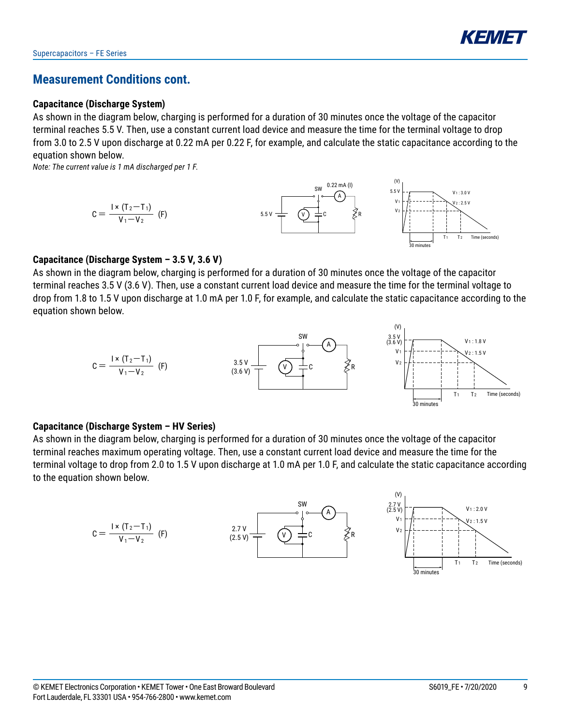

### **Measurement Conditions cont.**

#### **Capacitance (Discharge System)**

As shown in the diagram below, charging is performed for a duration of 30 minutes once the voltage of the capacitor terminal reaches 5.5 V. Then, use a constant current load device and measure the time for the terminal voltage to drop from 3.0 to 2.5 V upon discharge at 0.22 mA per 0.22 F, for example, and calculate the static capacitance according to the equation shown below.

*Note: The current value is 1 mA discharged per 1 F.*



#### **Capacitance (Discharge System – 3.5 V, 3.6 V)**

As shown in the diagram below, charging is performed for a duration of 30 minutes once the voltage of the capacitor terminal reaches 3.5 V (3.6 V). Then, use a constant current load device and measure the time for the terminal voltage to drop from 1.8 to 1.5 V upon discharge at 1.0 mA per 1.0 F, for example, and calculate the static capacitance according to the equation shown below.



#### **Capacitance (Discharge System – HV Series)**

As shown in the diagram below, charging is performed for a duration of 30 minutes once the voltage of the capacitor terminal reaches maximum operating voltage. Then, use a constant current load device and measure the time for the terminal voltage to drop from 2.0 to 1.5 V upon discharge at 1.0 mA per 1.0 F, and calculate the static capacitance according to the equation shown below.

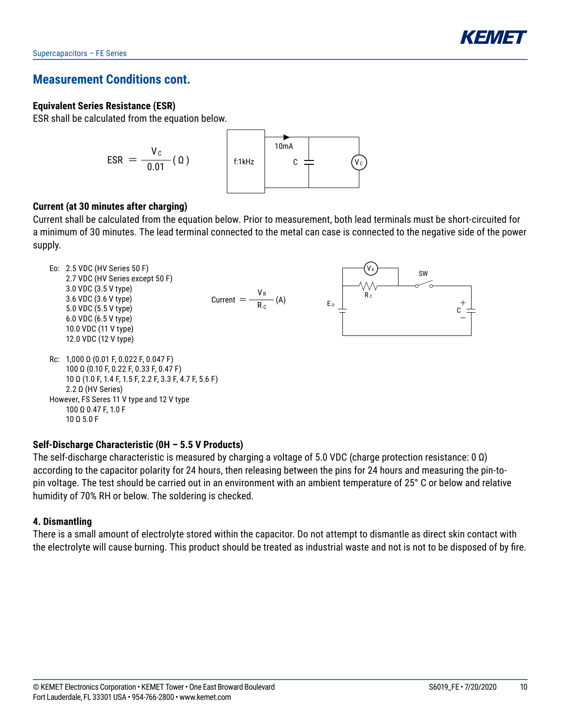### **Measurement Conditions cont.**

#### **Equivalent Series Resistance (ESR)**

ESR shall be calculated from the equation below.



#### **Current (at 30 minutes after charging)**

Current shall be calculated from the equation below. Prior to measurement, both lead terminals must be short-circuited for a minimum of 30 minutes. The lead terminal connected to the metal can case is connected to the negative side of the power supply.



#### $10$  Q 5.0 F

#### **Self-Discharge Characteristic (0H – 5.5 V Products)**

The self-discharge characteristic is measured by charging a voltage of 5.0 VDC (charge protection resistance: 0  $\Omega$ ) according to the capacitor polarity for 24 hours, then releasing between the pins for 24 hours and measuring the pin-topin voltage. The test should be carried out in an environment with an ambient temperature of 25° C or below and relative humidity of 70% RH or below. The soldering is checked.

#### **4. Dismantling**

There is a small amount of electrolyte stored within the capacitor. Do not attempt to dismantle as direct skin contact with the electrolyte will cause burning. This product should be treated as industrial waste and not is not to be disposed of by fire.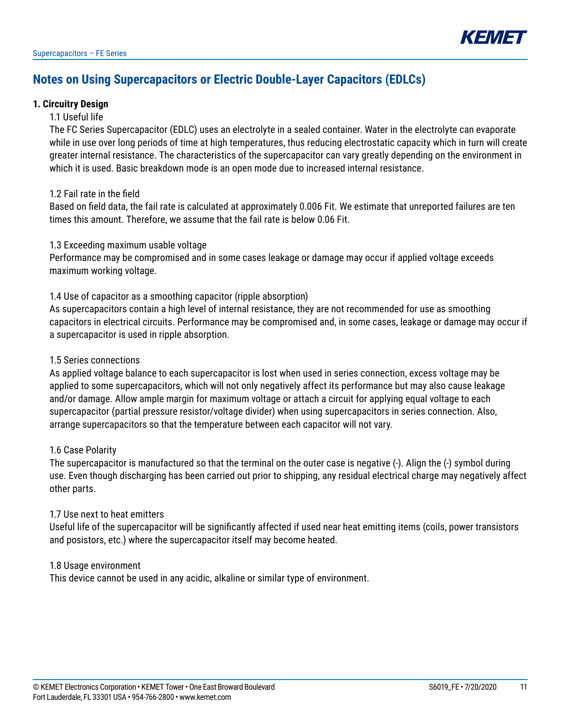

### **Notes on Using Supercapacitors or Electric Double-Layer Capacitors (EDLCs)**

#### **1. Circuitry Design**

#### 1.1 Useful life

The FC Series Supercapacitor (EDLC) uses an electrolyte in a sealed container. Water in the electrolyte can evaporate while in use over long periods of time at high temperatures, thus reducing electrostatic capacity which in turn will create greater internal resistance. The characteristics of the supercapacitor can vary greatly depending on the environment in which it is used. Basic breakdown mode is an open mode due to increased internal resistance.

#### 1.2 Fail rate in the field

Based on field data, the fail rate is calculated at approximately 0.006 Fit. We estimate that unreported failures are ten times this amount. Therefore, we assume that the fail rate is below 0.06 Fit.

#### 1.3 Exceeding maximum usable voltage

Performance may be compromised and in some cases leakage or damage may occur if applied voltage exceeds maximum working voltage.

1.4 Use of capacitor as a smoothing capacitor (ripple absorption)

As supercapacitors contain a high level of internal resistance, they are not recommended for use as smoothing capacitors in electrical circuits. Performance may be compromised and, in some cases, leakage or damage may occur if a supercapacitor is used in ripple absorption.

#### 1.5 Series connections

As applied voltage balance to each supercapacitor is lost when used in series connection, excess voltage may be applied to some supercapacitors, which will not only negatively affect its performance but may also cause leakage and/or damage. Allow ample margin for maximum voltage or attach a circuit for applying equal voltage to each supercapacitor (partial pressure resistor/voltage divider) when using supercapacitors in series connection. Also, arrange supercapacitors so that the temperature between each capacitor will not vary.

#### 1.6 Case Polarity

The supercapacitor is manufactured so that the terminal on the outer case is negative (-). Align the (-) symbol during use. Even though discharging has been carried out prior to shipping, any residual electrical charge may negatively affect other parts.

#### 1.7 Use next to heat emitters

Useful life of the supercapacitor will be significantly affected if used near heat emitting items (coils, power transistors and posistors, etc.) where the supercapacitor itself may become heated.

1.8 Usage environment

This device cannot be used in any acidic, alkaline or similar type of environment.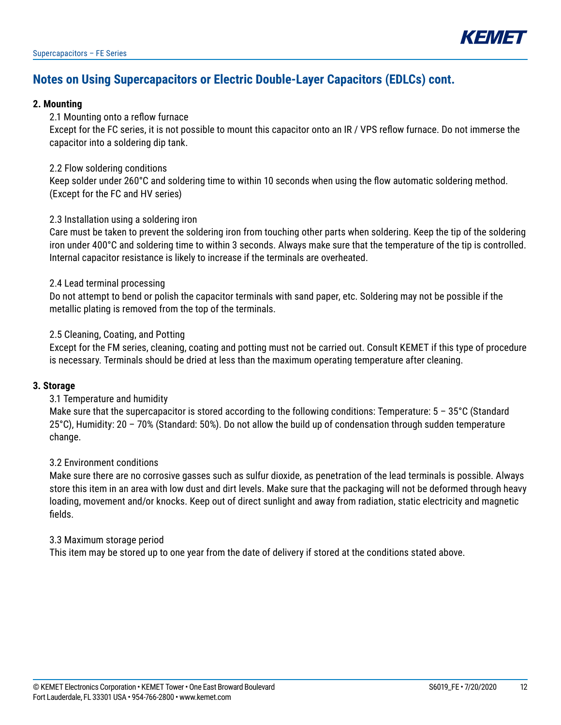

### **Notes on Using Supercapacitors or Electric Double-Layer Capacitors (EDLCs) cont.**

#### **2. Mounting**

#### 2.1 Mounting onto a reflow furnace

Except for the FC series, it is not possible to mount this capacitor onto an IR / VPS reflow furnace. Do not immerse the capacitor into a soldering dip tank.

#### 2.2 Flow soldering conditions

Keep solder under 260°C and soldering time to within 10 seconds when using the flow automatic soldering method. (Except for the FC and HV series)

#### 2.3 Installation using a soldering iron

Care must be taken to prevent the soldering iron from touching other parts when soldering. Keep the tip of the soldering iron under 400°C and soldering time to within 3 seconds. Always make sure that the temperature of the tip is controlled. Internal capacitor resistance is likely to increase if the terminals are overheated.

#### 2.4 Lead terminal processing

Do not attempt to bend or polish the capacitor terminals with sand paper, etc. Soldering may not be possible if the metallic plating is removed from the top of the terminals.

#### 2.5 Cleaning, Coating, and Potting

Except for the FM series, cleaning, coating and potting must not be carried out. Consult KEMET if this type of procedure is necessary. Terminals should be dried at less than the maximum operating temperature after cleaning.

#### **3. Storage**

#### 3.1 Temperature and humidity

Make sure that the supercapacitor is stored according to the following conditions: Temperature:  $5 - 35^{\circ}$ C (Standard 25°C), Humidity: 20 – 70% (Standard: 50%). Do not allow the build up of condensation through sudden temperature change.

#### 3.2 Environment conditions

Make sure there are no corrosive gasses such as sulfur dioxide, as penetration of the lead terminals is possible. Always store this item in an area with low dust and dirt levels. Make sure that the packaging will not be deformed through heavy loading, movement and/or knocks. Keep out of direct sunlight and away from radiation, static electricity and magnetic fields.

#### 3.3 Maximum storage period

This item may be stored up to one year from the date of delivery if stored at the conditions stated above.